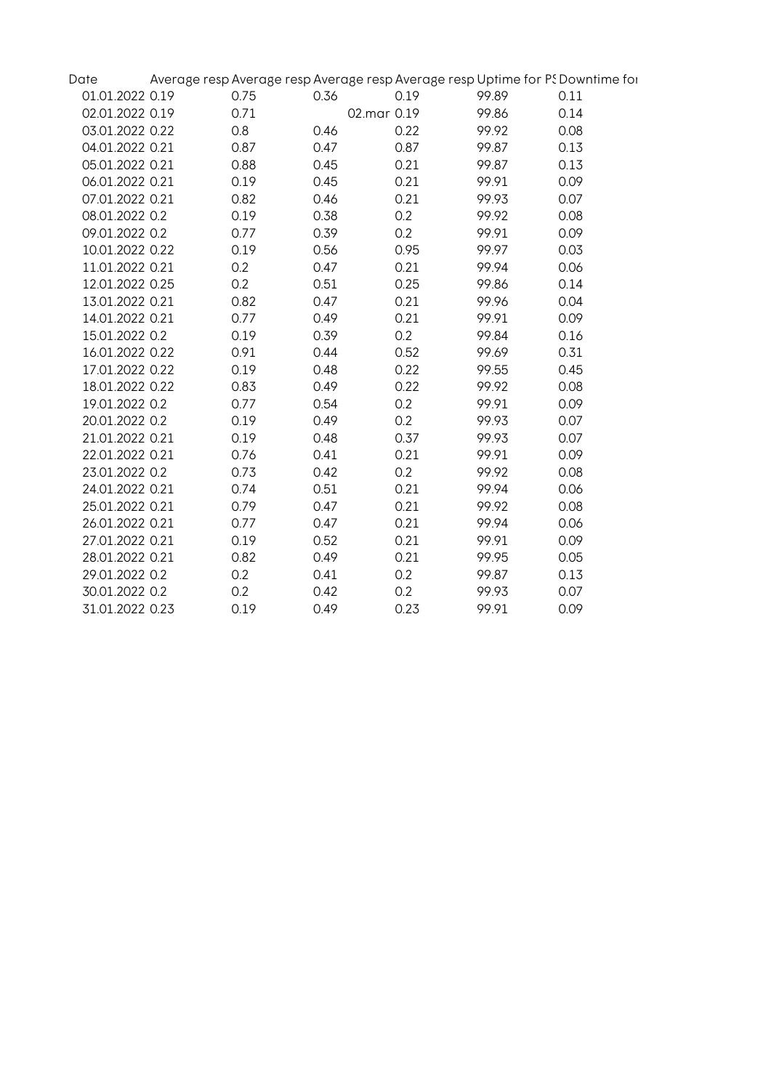| Date            |      |             |      |       | Average resp Average resp Average resp Average resp Uptime for PS Downtime for |
|-----------------|------|-------------|------|-------|--------------------------------------------------------------------------------|
| 01.01.2022 0.19 | 0.75 | 0.36        | 0.19 | 99.89 | 0.11                                                                           |
| 02.01.2022 0.19 | 0.71 | 02.mar 0.19 |      | 99.86 | 0.14                                                                           |
| 03.01.2022 0.22 | 0.8  | 0.46        | 0.22 | 99.92 | 0.08                                                                           |
| 04.01.2022 0.21 | 0.87 | 0.47        | 0.87 | 99.87 | 0.13                                                                           |
| 05.01.2022 0.21 | 0.88 | 0.45        | 0.21 | 99.87 | 0.13                                                                           |
| 06.01.2022 0.21 | 0.19 | 0.45        | 0.21 | 99.91 | 0.09                                                                           |
| 07.01.2022 0.21 | 0.82 | 0.46        | 0.21 | 99.93 | 0.07                                                                           |
| 08.01.2022 0.2  | 0.19 | 0.38        | 0.2  | 99.92 | 0.08                                                                           |
| 09.01.2022 0.2  | 0.77 | 0.39        | 0.2  | 99.91 | 0.09                                                                           |
| 10.01.2022 0.22 | 0.19 | 0.56        | 0.95 | 99.97 | 0.03                                                                           |
| 11.01.2022 0.21 | 0.2  | 0.47        | 0.21 | 99.94 | 0.06                                                                           |
| 12.01.2022 0.25 | 0.2  | 0.51        | 0.25 | 99.86 | 0.14                                                                           |
| 13.01.2022 0.21 | 0.82 | 0.47        | 0.21 | 99.96 | 0.04                                                                           |
| 14.01.2022 0.21 | 0.77 | 0.49        | 0.21 | 99.91 | 0.09                                                                           |
| 15.01.2022 0.2  | 0.19 | 0.39        | 0.2  | 99.84 | 0.16                                                                           |
| 16.01.2022 0.22 | 0.91 | 0.44        | 0.52 | 99.69 | 0.31                                                                           |
| 17.01.2022 0.22 | 0.19 | 0.48        | 0.22 | 99.55 | 0.45                                                                           |
| 18.01.2022 0.22 | 0.83 | 0.49        | 0.22 | 99.92 | 0.08                                                                           |
| 19.01.2022 0.2  | 0.77 | 0.54        | 0.2  | 99.91 | 0.09                                                                           |
| 20.01.2022 0.2  | 0.19 | 0.49        | 0.2  | 99.93 | 0.07                                                                           |
| 21.01.2022 0.21 | 0.19 | 0.48        | 0.37 | 99.93 | 0.07                                                                           |
| 22.01.2022 0.21 | 0.76 | 0.41        | 0.21 | 99.91 | 0.09                                                                           |
| 23.01.2022 0.2  | 0.73 | 0.42        | 0.2  | 99.92 | 0.08                                                                           |
| 24.01.2022 0.21 | 0.74 | 0.51        | 0.21 | 99.94 | 0.06                                                                           |
| 25.01.2022 0.21 | 0.79 | 0.47        | 0.21 | 99.92 | 0.08                                                                           |
| 26.01.2022 0.21 | 0.77 | 0.47        | 0.21 | 99.94 | 0.06                                                                           |
| 27.01.2022 0.21 | 0.19 | 0.52        | 0.21 | 99.91 | 0.09                                                                           |
| 28.01.2022 0.21 | 0.82 | 0.49        | 0.21 | 99.95 | 0.05                                                                           |
| 29.01.2022 0.2  | 0.2  | 0.41        | 0.2  | 99.87 | 0.13                                                                           |
| 30.01.2022 0.2  | 0.2  | 0.42        | 0.2  | 99.93 | 0.07                                                                           |
| 31.01.2022 0.23 | 0.19 | 0.49        | 0.23 | 99.91 | 0.09                                                                           |